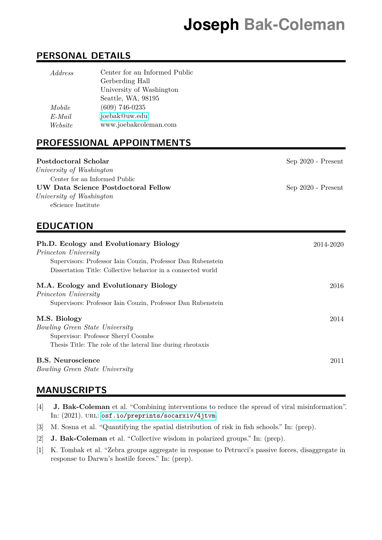# **Joseph Bak-Coleman**

## **PERSONAL DETAILS**

| <i>Address</i> | Center for an Informed Public |
|----------------|-------------------------------|
|                | Gerberding Hall               |
|                | University of Washington      |
|                | Seattle, WA, 98195            |
| Mobile         | $(609)$ 746-0235              |
| E-Mail         | joebak@uw.edu                 |
| Website        | www.joebakcoleman.com         |

# **PROFESSIONAL APPOINTMENTS**

| Postdoctoral Scholar<br>University of Washington<br>Center for an Informed Public<br>UW Data Science Postdoctoral Fellow<br>University of Washington<br>eScience Institute                     | $Sep 2020 - Present$<br>Sep 2020 - Present |
|------------------------------------------------------------------------------------------------------------------------------------------------------------------------------------------------|--------------------------------------------|
| <b>EDUCATION</b>                                                                                                                                                                               |                                            |
| Ph.D. Ecology and Evolutionary Biology<br>Princeton University<br>Supervisors: Professor Iain Couzin, Professor Dan Rubenstein<br>Dissertation Title: Collective behavior in a connected world | 2014-2020                                  |
| M.A. Ecology and Evolutionary Biology<br>Princeton University<br>Supervisors: Professor Iain Couzin, Professor Dan Rubenstein                                                                  | 2016                                       |
| M.S. Biology<br><i>Bowling Green State University</i><br>Supervisor: Professor Sheryl Coombs<br>Thesis Title: The role of the lateral line during rheotaxis                                    | 2014                                       |
| <b>B.S. Neuroscience</b><br><i>Bowling Green State University</i>                                                                                                                              | 2011                                       |

## **MANUSCRIPTS**

- [4] **J. Bak-Coleman** et al. "Combining interventions to reduce the spread of viral misinformation". In: (2021). url: <osf.io/preprints/socarxiv/4jtvm>.
- [3] M. Sosna et al. "Quantifying the spatial distribution of risk in fish schools." In: (prep).
- [2] **J. Bak-Coleman** et al. "Collective wisdom in polarized groups." In: (prep).
- [1] K. Tombak et al. "Zebra groups aggregate in response to Petrucci's passive forces, disaggregate in response to Darwn's hostile forces." In: (prep).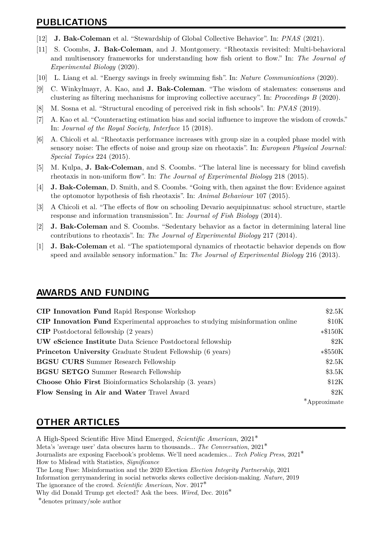## **PUBLICATIONS**

- [12] **J. Bak-Coleman** et al. "Stewardship of Global Collective Behavior". In: *PNAS* (2021).
- [11] S. Coombs, **J. Bak-Coleman**, and J. Montgomery. "Rheotaxis revisited: Multi-behavioral and multisensory frameworks for understanding how fish orient to flow." In: *The Journal of Experimental Biology* (2020).
- [10] L. Liang et al. "Energy savings in freely swimming fish". In: *Nature Communications* (2020).
- [9] C. Winkylmayr, A. Kao, and **J. Bak-Coleman**. "The wisdom of stalemates: consensus and clustering as filtering mechanisms for improving collective accuracy". In: *Proceedings B* (2020).
- [8] M. Sosna et al. "Structural encoding of perceived risk in fish schools". In: *PNAS* (2019).
- [7] A. Kao et al. "Counteracting estimation bias and social influence to improve the wisdom of crowds." In: *Journal of the Royal Society, Interface* 15 (2018).
- [6] A. Chicoli et al. "Rheotaxis performance increases with group size in a coupled phase model with sensory noise: The effects of noise and group size on rheotaxis". In: *European Physical Journal: Special Topics* 224 (2015).
- [5] M. Kulpa, **J. Bak-Coleman**, and S. Coombs. "The lateral line is necessary for blind cavefish rheotaxis in non-uniform flow". In: *The Journal of Experimental Biology* 218 (2015).
- [4] **J. Bak-Coleman**, D. Smith, and S. Coombs. "Going with, then against the flow: Evidence against the optomotor hypothesis of fish rheotaxis". In: *Animal Behaviour* 107 (2015).
- [3] A Chicoli et al. "The effects of flow on schooling Devario aequipinnatus: school structure, startle response and information transmission". In: *Journal of Fish Biology* (2014).
- [2] **J. Bak-Coleman** and S. Coombs. "Sedentary behavior as a factor in determining lateral line contributions to rheotaxis". In: *The Journal of Experimental Biology* 217 (2014).
- [1] **J. Bak-Coleman** et al. "The spatiotemporal dynamics of rheotactic behavior depends on flow speed and available sensory information." In: *The Journal of Experimental Biology* 216 (2013).

#### **AWARDS AND FUNDING**

| <b>CIP Innovation Fund Rapid Response Workshop</b>                                   | \$2.5K    |
|--------------------------------------------------------------------------------------|-----------|
| <b>CIP Innovation Fund</b> Experimental approaches to studying misinformation online | \$10K     |
| <b>CIP</b> Postdoctoral fellowship (2 years)                                         | $*3150K$  |
| <b>UW</b> eScience Institute Data Science Postdoctoral fellowship                    | \$2K      |
| <b>Princeton University Graduate Student Fellowship (6 years)</b>                    | $*\$550K$ |
| <b>BGSU CURS</b> Summer Research Fellowship                                          | \$2.5K    |
| <b>BGSU SETGO</b> Summer Research Fellowship                                         | \$3.5K    |
| <b>Choose Ohio First Bioinformatics Scholarship (3. years)</b>                       | \$12K     |
| Flow Sensing in Air and Water Travel Award                                           | \$2K      |
|                                                                                      | roximate  |
|                                                                                      |           |

### **OTHER ARTICLES**

A High-Speed Scientific Hive Mind Emerged, *Scientific American*, 2021∗ Meta's 'average user' data obscures harm to thousands... *The Conversation*, 2021∗ Journalists are exposing Facebook's problems. We'll need academics... *Tech Policy Press*, 2021∗ How to Mislead with Statistics, *Significance* The Long Fuse: Misinformation and the 2020 Election *Election Integrity Partnership*, 2021 Information gerrymandering in social networks skews collective decision-making. *Nature*, 2019 The ignorance of the crowd. *Scientific American*, Nov. 2017∗ Why did Donald Trump get elected? Ask the bees. *Wired*, Dec. 2016∗ ∗denotes primary/sole author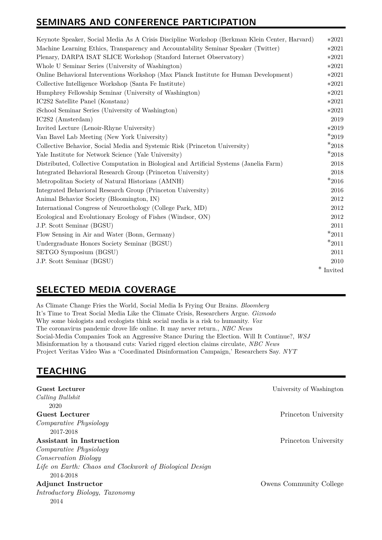# **SEMINARS AND CONFERENCE PARTICIPATION**

| Keynote Speaker, Social Media As A Crisis Discipline Workshop (Berkman Klein Center, Harvard) | $*2021$     |
|-----------------------------------------------------------------------------------------------|-------------|
| Machine Learning Ethics, Transparency and Accountability Seminar Speaker (Twitter)            |             |
| Plenary, DARPA ISAT SLICE Workshop (Stanford Internet Observatory)                            | $*2021$     |
| Whole U Seminar Series (University of Washington)                                             | $*2021$     |
| Online Behavioral Interventions Workshop (Max Planck Institute for Human Development)         | $*2021$     |
| Collective Intelligence Workshop (Santa Fe Institute)                                         | $*2021$     |
| Humphrey Fellowship Seminar (University of Washington)                                        | $*2021$     |
| IC2S2 Satellite Panel (Konstanz)                                                              | $*2021$     |
| iSchool Seminar Series (University of Washington)                                             | $*2021$     |
| IC2S2 (Amsterdam)                                                                             | 2019        |
| Invited Lecture (Lenoir-Rhyne University)                                                     | $*2019$     |
| Van Bavel Lab Meeting (New York University)                                                   | $*_{2019}$  |
| Collective Behavior, Social Media and Systemic Risk (Princeton University)                    | $*_{2018}$  |
| Yale Institute for Network Science (Yale University)                                          | $*_{2018}$  |
| Distributed, Collective Computation in Biological and Artificial Systems (Janelia Farm)       | 2018        |
| Integrated Behavioral Research Group (Princeton University)                                   | 2018        |
| Metropolitan Society of Natural Historians (AMNH)                                             | $*_{2016}$  |
| Integrated Behavioral Research Group (Princeton University)                                   | 2016        |
| Animal Behavior Society (Bloomington, IN)                                                     | $2012\,$    |
| International Congress of Neuroethology (College Park, MD)                                    | 2012        |
| Ecological and Evolutionary Ecology of Fishes (Windsor, ON)                                   | 2012        |
| J.P. Scott Seminar (BGSU)                                                                     | 2011        |
| Flow Sensing in Air and Water (Bonn, Germany)                                                 | $*2011$     |
| Undergraduate Honors Society Seminar (BGSU)                                                   | $*2011$     |
| SETGO Symposium (BGSU)                                                                        | 2011        |
| J.P. Scott Seminar (BGSU)                                                                     | 2010        |
|                                                                                               | $*$ Invited |

# **SELECTED MEDIA COVERAGE**

As Climate Change Fries the World, Social Media Is Frying Our Brains. *Bloomberg* It's Time to Treat Social Media Like the Climate Crisis, Researchers Argue. *Gizmodo* Why some biologists and ecologists think social media is a risk to humanity. *Vox* The coronavirus pandemic drove life online. It may never return., *NBC News* Social-Media Companies Took an Aggressive Stance During the Election. Will It Continue?, *WSJ* Misinformation by a thousand cuts: Varied rigged election claims circulate, *NBC News* Project Veritas Video Was a 'Coordinated Disinformation Campaign,' Researchers Say. *NYT*

# **TEACHING**

| Guest Lecturer                                          | University of Washington |
|---------------------------------------------------------|--------------------------|
| Calling Bullshit                                        |                          |
| 2020                                                    |                          |
| Guest Lecturer                                          | Princeton University     |
| <i>Comparative Physiology</i>                           |                          |
| 2017-2018                                               |                          |
| Assistant in Instruction                                | Princeton University     |
| <i>Comparative Physiology</i>                           |                          |
| <i>Conservation Biology</i>                             |                          |
| Life on Earth: Chaos and Clockwork of Biological Design |                          |
| 2014-2018                                               |                          |
| <b>Adjunct Instructor</b>                               | Owens Community College  |
| Introductory Biology, Taxonomy                          |                          |
| 2014                                                    |                          |
|                                                         |                          |